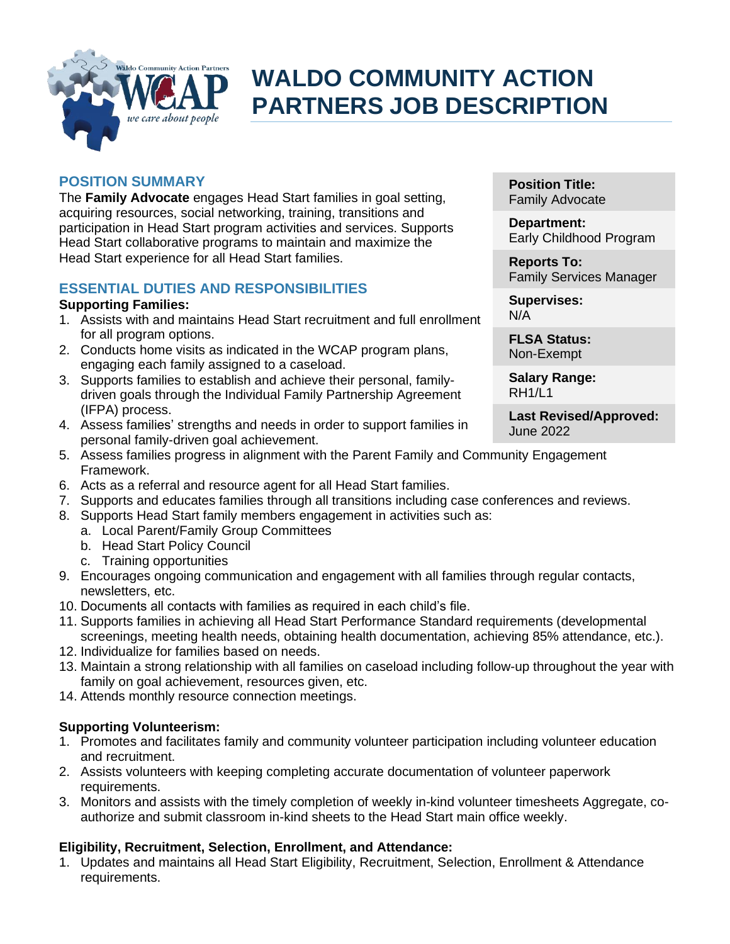

# **WALDO COMMUNITY ACTION PARTNERS JOB DESCRIPTION**

# **POSITION SUMMARY**

The **Family Advocate** engages Head Start families in goal setting, acquiring resources, social networking, training, transitions and participation in Head Start program activities and services. Supports Head Start collaborative programs to maintain and maximize the Head Start experience for all Head Start families.

# **ESSENTIAL DUTIES AND RESPONSIBILITIES**

#### **Supporting Families:**

- 1. Assists with and maintains Head Start recruitment and full enrollment for all program options.
- 2. Conducts home visits as indicated in the WCAP program plans, engaging each family assigned to a caseload.
- 3. Supports families to establish and achieve their personal, familydriven goals through the Individual Family Partnership Agreement (IFPA) process.
- 4. Assess families' strengths and needs in order to support families in personal family-driven goal achievement.
- 5. Assess families progress in alignment with the Parent Family and Community Engagement Framework.
- 6. Acts as a referral and resource agent for all Head Start families.
- 7. Supports and educates families through all transitions including case conferences and reviews.
- 8. Supports Head Start family members engagement in activities such as:
	- a. Local Parent/Family Group Committees
	- b. Head Start Policy Council
	- c. Training opportunities
- 9. Encourages ongoing communication and engagement with all families through regular contacts, newsletters, etc.
- 10. Documents all contacts with families as required in each child's file.
- 11. Supports families in achieving all Head Start Performance Standard requirements (developmental screenings, meeting health needs, obtaining health documentation, achieving 85% attendance, etc.).
- 12. Individualize for families based on needs.
- 13. Maintain a strong relationship with all families on caseload including follow-up throughout the year with family on goal achievement, resources given, etc.
- 14. Attends monthly resource connection meetings.

# **Supporting Volunteerism:**

- 1. Promotes and facilitates family and community volunteer participation including volunteer education and recruitment.
- 2. Assists volunteers with keeping completing accurate documentation of volunteer paperwork requirements.
- 3. Monitors and assists with the timely completion of weekly in-kind volunteer timesheets Aggregate, coauthorize and submit classroom in-kind sheets to the Head Start main office weekly.

# **Eligibility, Recruitment, Selection, Enrollment, and Attendance:**

1. Updates and maintains all Head Start Eligibility, Recruitment, Selection, Enrollment & Attendance requirements.

**Position Title:** Family Advocate

**Department:** Early Childhood Program

**Reports To:** Family Services Manager

**Supervises:** N/A

**FLSA Status:** Non-Exempt

**Salary Range:** RH1/L1

**Last Revised/Approved:** June 2022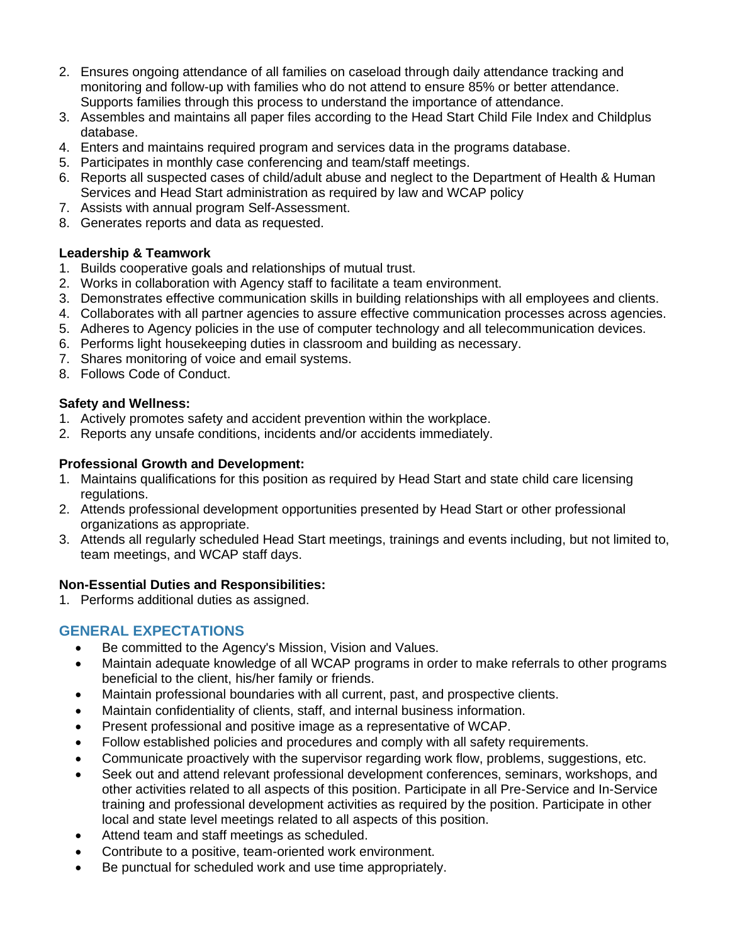- 2. Ensures ongoing attendance of all families on caseload through daily attendance tracking and monitoring and follow-up with families who do not attend to ensure 85% or better attendance. Supports families through this process to understand the importance of attendance.
- 3. Assembles and maintains all paper files according to the Head Start Child File Index and Childplus database.
- 4. Enters and maintains required program and services data in the programs database.
- 5. Participates in monthly case conferencing and team/staff meetings.
- 6. Reports all suspected cases of child/adult abuse and neglect to the Department of Health & Human Services and Head Start administration as required by law and WCAP policy
- 7. Assists with annual program Self-Assessment.
- 8. Generates reports and data as requested.

#### **Leadership & Teamwork**

- 1. Builds cooperative goals and relationships of mutual trust.
- 2. Works in collaboration with Agency staff to facilitate a team environment.
- 3. Demonstrates effective communication skills in building relationships with all employees and clients.
- 4. Collaborates with all partner agencies to assure effective communication processes across agencies.
- 5. Adheres to Agency policies in the use of computer technology and all telecommunication devices.
- 6. Performs light housekeeping duties in classroom and building as necessary.
- 7. Shares monitoring of voice and email systems.
- 8. Follows Code of Conduct.

#### **Safety and Wellness:**

- 1. Actively promotes safety and accident prevention within the workplace.
- 2. Reports any unsafe conditions, incidents and/or accidents immediately.

#### **Professional Growth and Development:**

- 1. Maintains qualifications for this position as required by Head Start and state child care licensing regulations.
- 2. Attends professional development opportunities presented by Head Start or other professional organizations as appropriate.
- 3. Attends all regularly scheduled Head Start meetings, trainings and events including, but not limited to, team meetings, and WCAP staff days.

# **Non-Essential Duties and Responsibilities:**

1. Performs additional duties as assigned.

# **GENERAL EXPECTATIONS**

- Be committed to the Agency's Mission, Vision and Values.
- Maintain adequate knowledge of all WCAP programs in order to make referrals to other programs beneficial to the client, his/her family or friends.
- Maintain professional boundaries with all current, past, and prospective clients.
- Maintain confidentiality of clients, staff, and internal business information.
- Present professional and positive image as a representative of WCAP.
- Follow established policies and procedures and comply with all safety requirements.
- Communicate proactively with the supervisor regarding work flow, problems, suggestions, etc.
- Seek out and attend relevant professional development conferences, seminars, workshops, and other activities related to all aspects of this position. Participate in all Pre-Service and In-Service training and professional development activities as required by the position. Participate in other local and state level meetings related to all aspects of this position.
- Attend team and staff meetings as scheduled.
- Contribute to a positive, team-oriented work environment.
- Be punctual for scheduled work and use time appropriately.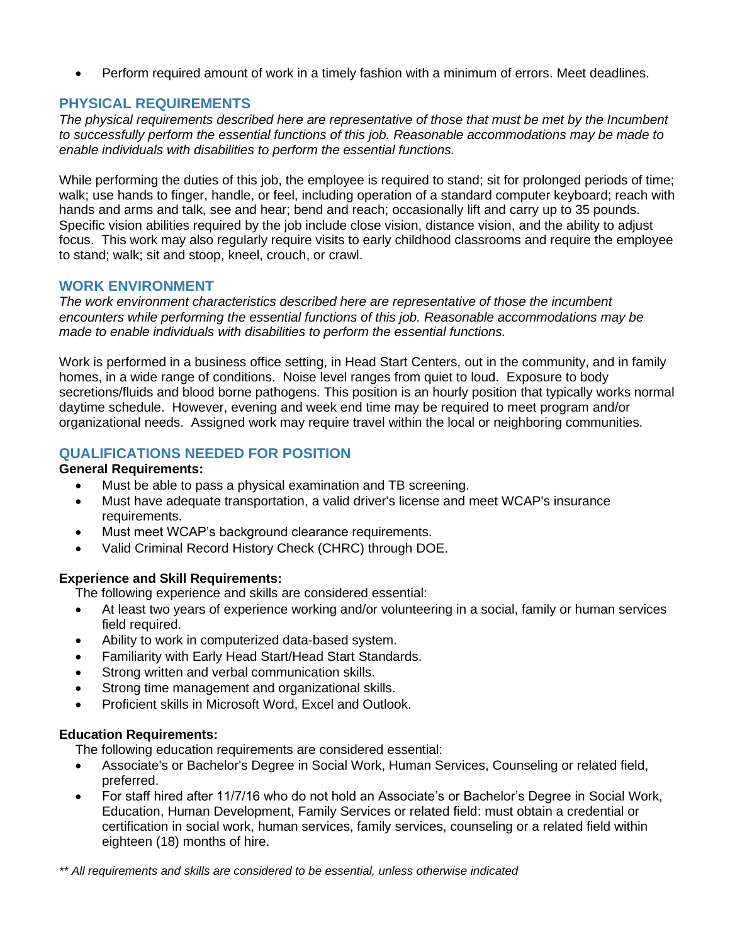• Perform required amount of work in a timely fashion with a minimum of errors. Meet deadlines.

#### **PHYSICAL REQUIREMENTS**

*The physical requirements described here are representative of those that must be met by the Incumbent to successfully perform the essential functions of this job. Reasonable accommodations may be made to enable individuals with disabilities to perform the essential functions.*

While performing the duties of this job, the employee is required to stand; sit for prolonged periods of time; walk; use hands to finger, handle, or feel, including operation of a standard computer keyboard; reach with hands and arms and talk, see and hear; bend and reach; occasionally lift and carry up to 35 pounds. Specific vision abilities required by the job include close vision, distance vision, and the ability to adjust focus. This work may also regularly require visits to early childhood classrooms and require the employee to stand; walk; sit and stoop, kneel, crouch, or crawl.

#### **WORK ENVIRONMENT**

*The work environment characteristics described here are representative of those the incumbent encounters while performing the essential functions of this job. Reasonable accommodations may be made to enable individuals with disabilities to perform the essential functions.* 

Work is performed in a business office setting, in Head Start Centers, out in the community, and in family homes, in a wide range of conditions. Noise level ranges from quiet to loud. Exposure to body secretions/fluids and blood borne pathogens. This position is an hourly position that typically works normal daytime schedule. However, evening and week end time may be required to meet program and/or organizational needs. Assigned work may require travel within the local or neighboring communities.

#### **QUALIFICATIONS NEEDED FOR POSITION**

#### **General Requirements:**

- Must be able to pass a physical examination and TB screening.
- Must have adequate transportation, a valid driver's license and meet WCAP's insurance requirements.
- Must meet WCAP's background clearance requirements.
- Valid Criminal Record History Check (CHRC) through DOE.

#### **Experience and Skill Requirements:**

The following experience and skills are considered essential:

- At least two years of experience working and/or volunteering in a social, family or human services field required.
- Ability to work in computerized data-based system.
- Familiarity with Early Head Start/Head Start Standards.
- Strong written and verbal communication skills.
- Strong time management and organizational skills.
- Proficient skills in Microsoft Word, Excel and Outlook.

#### **Education Requirements:**

The following education requirements are considered essential:

- Associate's or Bachelor's Degree in Social Work, Human Services, Counseling or related field, preferred.
- For staff hired after 11/7/16 who do not hold an Associate's or Bachelor's Degree in Social Work, Education, Human Development, Family Services or related field: must obtain a credential or certification in social work, human services, family services, counseling or a related field within eighteen (18) months of hire.

*\*\* All requirements and skills are considered to be essential, unless otherwise indicated*